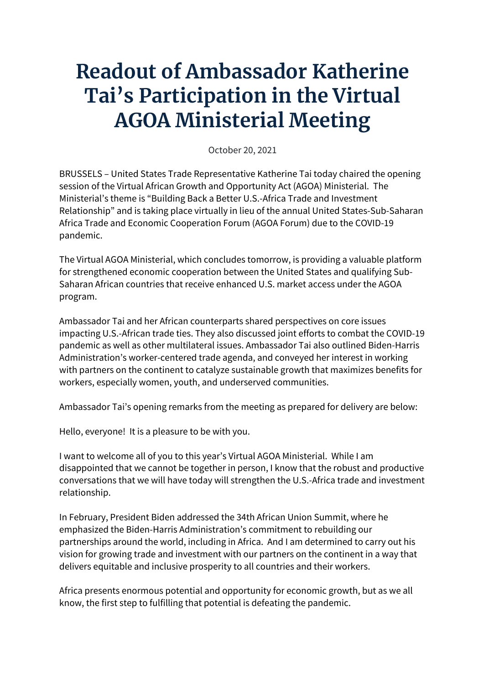## **Readout of Ambassador Katherine Tai's Participation in the Virtual AGOA Ministerial Meeting**

October 20, 2021

BRUSSELS – United States Trade Representative Katherine Tai today chaired the opening session of the Virtual African Growth and Opportunity Act (AGOA) Ministerial. The Ministerial's theme is "Building Back a Better U.S.-Africa Trade and Investment Relationship" and is taking place virtually in lieu of the annual United States-Sub-Saharan Africa Trade and Economic Cooperation Forum (AGOA Forum) due to the COVID-19 pandemic.

The Virtual AGOA Ministerial, which concludes tomorrow, is providing a valuable platform for strengthened economic cooperation between the United States and qualifying Sub-Saharan African countries that receive enhanced U.S. market access under the AGOA program.

Ambassador Tai and her African counterparts shared perspectives on core issues impacting U.S.-African trade ties. They also discussed joint efforts to combat the COVID-19 pandemic as well as other multilateral issues. Ambassador Tai also outlined Biden-Harris Administration's worker-centered trade agenda, and conveyed her interest in working with partners on the continent to catalyze sustainable growth that maximizes benefits for workers, especially women, youth, and underserved communities.

Ambassador Tai's opening remarks from the meeting as prepared for delivery are below:

Hello, everyone! It is a pleasure to be with you.

I want to welcome all of you to this year's Virtual AGOA Ministerial. While I am disappointed that we cannot be together in person, I know that the robust and productive conversations that we will have today will strengthen the U.S.-Africa trade and investment relationship.

In February, President Biden addressed the 34th African Union Summit, where he emphasized the Biden-Harris Administration's commitment to rebuilding our partnerships around the world, including in Africa. And I am determined to carry out his vision for growing trade and investment with our partners on the continent in a way that delivers equitable and inclusive prosperity to all countries and their workers.

Africa presents enormous potential and opportunity for economic growth, but as we all know, the first step to fulfilling that potential is defeating the pandemic.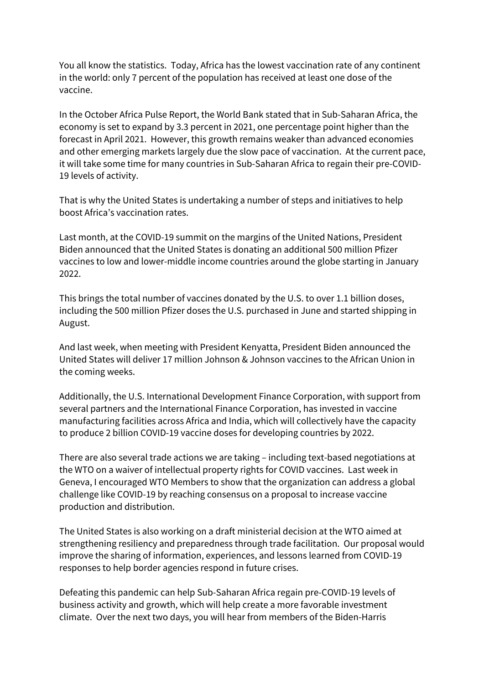You all know the statistics. Today, Africa has the lowest vaccination rate of any continent in the world: only 7 percent of the population has received at least one dose of the vaccine.

In the October Africa Pulse Report, the World Bank stated that in Sub-Saharan Africa, the economy is set to expand by 3.3 percent in 2021, one percentage point higher than the forecast in April 2021. However, this growth remains weaker than advanced economies and other emerging markets largely due the slow pace of vaccination. At the current pace, it will take some time for many countries in Sub-Saharan Africa to regain their pre-COVID-19 levels of activity.

That is why the United States is undertaking a number of steps and initiatives to help boost Africa's vaccination rates.

Last month, at the COVID-19 summit on the margins of the United Nations, President Biden announced that the United States is donating an additional 500 million Pfizer vaccines to low and lower-middle income countries around the globe starting in January 2022.

This brings the total number of vaccines donated by the U.S. to over 1.1 billion doses, including the 500 million Pfizer doses the U.S. purchased in June and started shipping in August.

And last week, when meeting with President Kenyatta, President Biden announced the United States will deliver 17 million Johnson & Johnson vaccines to the African Union in the coming weeks.

Additionally, the U.S. International Development Finance Corporation, with support from several partners and the International Finance Corporation, has invested in vaccine manufacturing facilities across Africa and India, which will collectively have the capacity to produce 2 billion COVID-19 vaccine doses for developing countries by 2022.

There are also several trade actions we are taking – including text-based negotiations at the WTO on a waiver of intellectual property rights for COVID vaccines. Last week in Geneva, I encouraged WTO Members to show that the organization can address a global challenge like COVID-19 by reaching consensus on a proposal to increase vaccine production and distribution.

The United States is also working on a draft ministerial decision at the WTO aimed at strengthening resiliency and preparedness through trade facilitation. Our proposal would improve the sharing of information, experiences, and lessons learned from COVID-19 responses to help border agencies respond in future crises.

Defeating this pandemic can help Sub-Saharan Africa regain pre-COVID-19 levels of business activity and growth, which will help create a more favorable investment climate. Over the next two days, you will hear from members of the Biden-Harris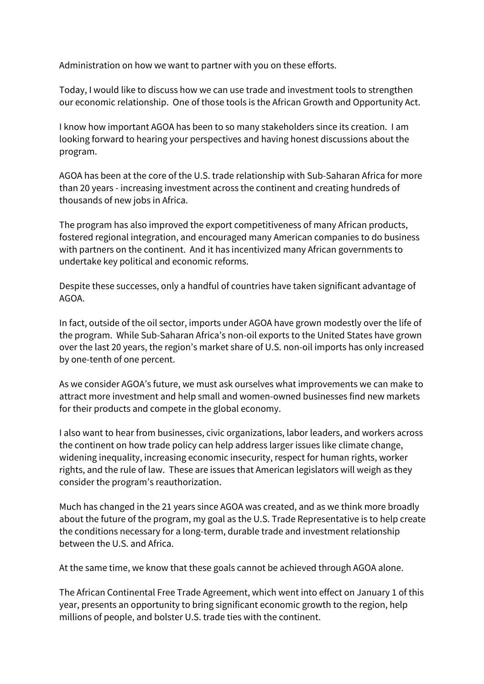Administration on how we want to partner with you on these efforts.

Today, I would like to discuss how we can use trade and investment tools to strengthen our economic relationship. One of those tools is the African Growth and Opportunity Act.

I know how important AGOA has been to so many stakeholders since its creation. I am looking forward to hearing your perspectives and having honest discussions about the program.

AGOA has been at the core of the U.S. trade relationship with Sub-Saharan Africa for more than 20 years - increasing investment across the continent and creating hundreds of thousands of new jobs in Africa.

The program has also improved the export competitiveness of many African products, fostered regional integration, and encouraged many American companies to do business with partners on the continent. And it has incentivized many African governments to undertake key political and economic reforms.

Despite these successes, only a handful of countries have taken significant advantage of AGOA.

In fact, outside of the oil sector, imports under AGOA have grown modestly over the life of the program. While Sub-Saharan Africa's non-oil exports to the United States have grown over the last 20 years, the region's market share of U.S. non-oil imports has only increased by one-tenth of one percent.

As we consider AGOA's future, we must ask ourselves what improvements we can make to attract more investment and help small and women-owned businesses find new markets for their products and compete in the global economy.

I also want to hear from businesses, civic organizations, labor leaders, and workers across the continent on how trade policy can help address larger issues like climate change, widening inequality, increasing economic insecurity, respect for human rights, worker rights, and the rule of law. These are issues that American legislators will weigh as they consider the program's reauthorization.

Much has changed in the 21 years since AGOA was created, and as we think more broadly about the future of the program, my goal as the U.S. Trade Representative is to help create the conditions necessary for a long-term, durable trade and investment relationship between the U.S. and Africa.

At the same time, we know that these goals cannot be achieved through AGOA alone.

The African Continental Free Trade Agreement, which went into effect on January 1 of this year, presents an opportunity to bring significant economic growth to the region, help millions of people, and bolster U.S. trade ties with the continent.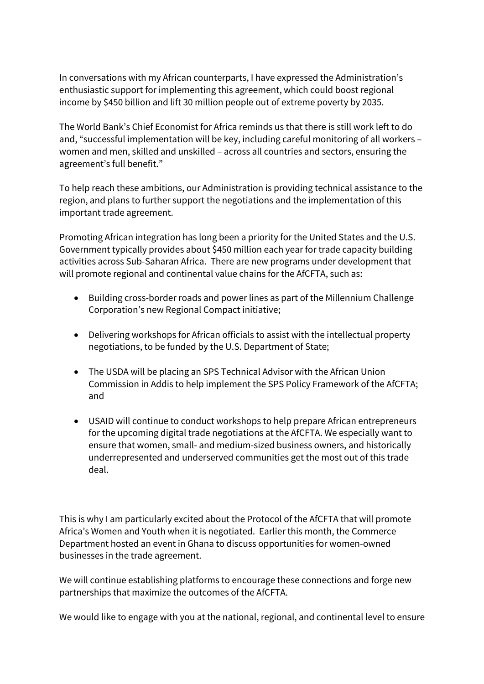In conversations with my African counterparts, I have expressed the Administration's enthusiastic support for implementing this agreement, which could boost regional income by \$450 billion and lift 30 million people out of extreme poverty by 2035.

The World Bank's Chief Economist for Africa reminds us that there is still work left to do and, "successful implementation will be key, including careful monitoring of all workers – women and men, skilled and unskilled – across all countries and sectors, ensuring the agreement's full benefit."

To help reach these ambitions, our Administration is providing technical assistance to the region, and plans to further support the negotiations and the implementation of this important trade agreement.

Promoting African integration has long been a priority for the United States and the U.S. Government typically provides about \$450 million each year for trade capacity building activities across Sub-Saharan Africa. There are new programs under development that will promote regional and continental value chains for the AfCFTA, such as:

- Building cross-border roads and power lines as part of the Millennium Challenge Corporation's new Regional Compact initiative;
- Delivering workshops for African officials to assist with the intellectual property negotiations, to be funded by the U.S. Department of State;
- The USDA will be placing an SPS Technical Advisor with the African Union Commission in Addis to help implement the SPS Policy Framework of the AfCFTA; and
- USAID will continue to conduct workshops to help prepare African entrepreneurs for the upcoming digital trade negotiations at the AfCFTA. We especially want to ensure that women, small- and medium-sized business owners, and historically underrepresented and underserved communities get the most out of this trade deal.

This is why I am particularly excited about the Protocol of the AfCFTA that will promote Africa's Women and Youth when it is negotiated. Earlier this month, the Commerce Department hosted an event in Ghana to discuss opportunities for women-owned businesses in the trade agreement.

We will continue establishing platforms to encourage these connections and forge new partnerships that maximize the outcomes of the AfCFTA.

We would like to engage with you at the national, regional, and continental level to ensure